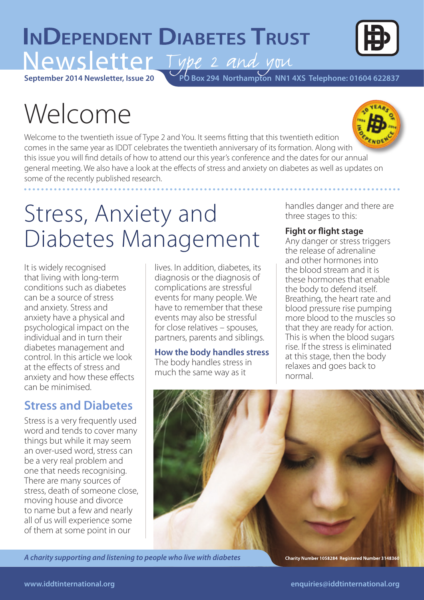# **INDEPENDENT DIABETES TRUST** Type 2 and you



**September 2014 Newsletter, Issue 20 PO Box 294 Northampton NN1 4XS Telephone: 01604 622837** 

# Welcome



Welcome to the twentieth issue of Type 2 and You. It seems fitting that this twentieth edition comes in the same year as IDDT celebrates the twentieth anniversary of its formation. Along with this issue you will find details of how to attend our this year's conference and the dates for our annual general meeting. We also have a look at the effects of stress and anxiety on diabetes as well as updates on some of the recently published research.

# Stress, Anxiety and Diabetes Management

It is widely recognised that living with long-term conditions such as diabetes can be a source of stress and anxiety. Stress and anxiety have a physical and psychological impact on the individual and in turn their diabetes management and control. In this article we look at the effects of stress and anxiety and how these effects can be minimised.

## **Stress and Diabetes**

Stress is a very frequently used word and tends to cover many things but while it may seem an over-used word, stress can be a very real problem and one that needs recognising. There are many sources of stress, death of someone close, moving house and divorce to name but a few and nearly all of us will experience some of them at some point in our

lives. In addition, diabetes, its diagnosis or the diagnosis of complications are stressful events for many people. We have to remember that these events may also be stressful for close relatives – spouses, partners, parents and siblings.

**How the body handles stress** The body handles stress in much the same way as it

handles danger and there are three stages to this:

### **Fight or flight stage**

Any danger or stress triggers the release of adrenaline and other hormones into the blood stream and it is these hormones that enable the body to defend itself. Breathing, the heart rate and blood pressure rise pumping more blood to the muscles so that they are ready for action. This is when the blood sugars rise. If the stress is eliminated at this stage, then the body relaxes and goes back to normal.



*A charity supporting and listening to people who live with diabetes A charity supporting and listening to people who live with diabetes A charity supporting and listening to people with diabetes*

Charity Number 1058284 Registered Number 3148360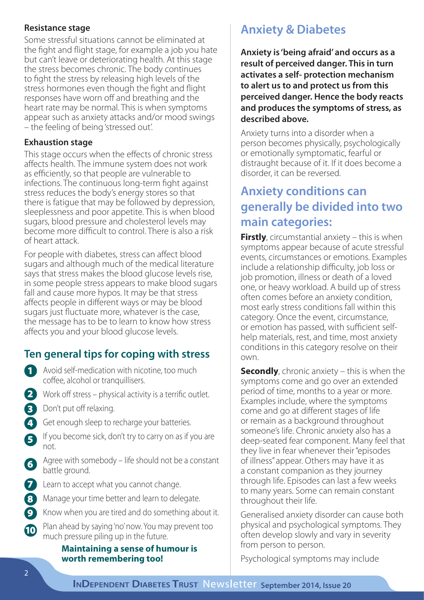#### **Resistance stage**

Some stressful situations cannot be eliminated at the fight and flight stage, for example a job you hate but can't leave or deteriorating health. At this stage the stress becomes chronic. The body continues to fight the stress by releasing high levels of the stress hormones even though the fight and flight responses have worn off and breathing and the heart rate may be normal. This is when symptoms appear such as anxiety attacks and/or mood swings – the feeling of being 'stressed out'.

#### **Exhaustion stage**

This stage occurs when the effects of chronic stress affects health. The immune system does not work as efficiently, so that people are vulnerable to infections. The continuous long-term fight against stress reduces the body's energy stores so that there is fatigue that may be followed by depression, sleeplessness and poor appetite. This is when blood sugars, blood pressure and cholesterol levels may become more difficult to control. There is also a risk of heart attack.

For people with diabetes, stress can affect blood sugars and although much of the medical literature says that stress makes the blood glucose levels rise, in some people stress appears to make blood sugars fall and cause more hypos. It may be that stress affects people in different ways or may be blood sugars just fluctuate more, whatever is the case, the message has to be to learn to know how stress affects you and your blood glucose levels.

## **Ten general tips for coping with stress**

- 1 Avoid self-medication with nicotine, too much coffee, alcohol or tranquillisers.
- **2** Work off stress physical activity is a terrific outlet.
- **3** Don't put off relaxing.
- 4) Get enough sleep to recharge your batteries.
- If you become sick, don't try to carry on as if you are not. 5
- Agree with somebody life should not be a constant battle ground. 6
- **7** Learn to accept what you cannot change.
- Manage your time better and learn to delegate. 8
- Know when you are tired and do something about it. 9
- Plan ahead by saying 'no' now. You may prevent too much pressure piling up in the future. 10

### **Maintaining a sense of humour is worth remembering too!**

# **Anxiety & Diabetes**

**Anxiety is 'being afraid' and occurs as a result of perceived danger. This in turn activates a self- protection mechanism to alert us to and protect us from this perceived danger. Hence the body reacts and produces the symptoms of stress, as described above.** 

Anxiety turns into a disorder when a person becomes physically, psychologically or emotionally symptomatic, fearful or distraught because of it. If it does become a disorder, it can be reversed.

## **Anxiety conditions can generally be divided into two main categories:**

**Firstly**, circumstantial anxiety – this is when symptoms appear because of acute stressful events, circumstances or emotions. Examples include a relationship difficulty, job loss or job promotion, illness or death of a loved one, or heavy workload. A build up of stress often comes before an anxiety condition, most early stress conditions fall within this category. Once the event, circumstance, or emotion has passed, with sufficient selfhelp materials, rest, and time, most anxiety conditions in this category resolve on their own.

**Secondly**, chronic anxiety – this is when the symptoms come and go over an extended period of time, months to a year or more. Examples include, where the symptoms come and go at different stages of life or remain as a background throughout someone's life. Chronic anxiety also has a deep-seated fear component. Many feel that they live in fear whenever their "episodes of illness" appear. Others may have it as a constant companion as they journey through life. Episodes can last a few weeks to many years. Some can remain constant throughout their life.

Generalised anxiety disorder can cause both physical and psychological symptoms. They often develop slowly and vary in severity from person to person.

Psychological symptoms may include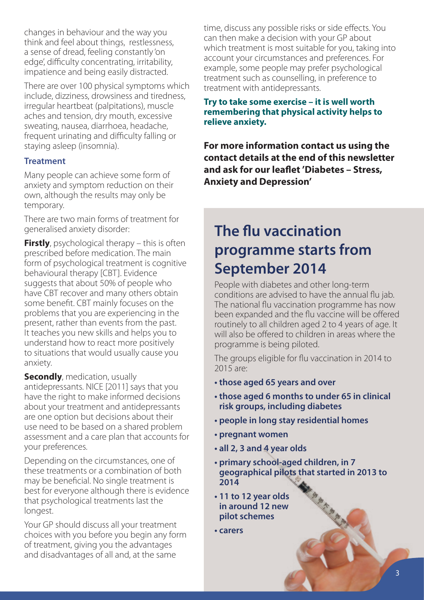changes in behaviour and the way you think and feel about things, restlessness, a sense of dread, feeling constantly 'on edge', difficulty concentrating, irritability, impatience and being easily distracted.

There are over 100 physical symptoms which include, dizziness, drowsiness and tiredness, irregular heartbeat (palpitations), muscle aches and tension, dry mouth, excessive sweating, nausea, diarrhoea, headache, frequent urinating and difficulty falling or staying asleep (insomnia).

### **Treatment**

Many people can achieve some form of anxiety and symptom reduction on their own, although the results may only be temporary.

There are two main forms of treatment for generalised anxiety disorder:

**Firstly**, psychological therapy – this is often prescribed before medication. The main form of psychological treatment is cognitive behavioural therapy [CBT]. Evidence suggests that about 50% of people who have CBT recover and many others obtain some benefit. CBT mainly focuses on the problems that you are experiencing in the present, rather than events from the past. It teaches you new skills and helps you to understand how to react more positively to situations that would usually cause you anxiety.

**Secondly**, medication, usually antidepressants. NICE [2011] says that you have the right to make informed decisions about your treatment and antidepressants are one option but decisions about their use need to be based on a shared problem assessment and a care plan that accounts for your preferences.

Depending on the circumstances, one of these treatments or a combination of both may be beneficial. No single treatment is best for everyone although there is evidence that psychological treatments last the longest.

Your GP should discuss all your treatment choices with you before you begin any form of treatment, giving you the advantages and disadvantages of all and, at the same

**Anxiety & Diabetes** time, discuss any possible risks or side effects. You can then make a decision with your GP about which treatment is most suitable for you, taking into account your circumstances and preferences. For example, some people may prefer psychological treatment such as counselling, in preference to treatment with antidepressants.

#### **Try to take some exercise – it is well worth remembering that physical activity helps to relieve anxiety.**

**For more information contact us using the contact details at the end of this newsletter and ask for our leaflet 'Diabetes – Stress, Anxiety and Depression'**

# **The flu vaccination programme starts from September 2014**

People with diabetes and other long-term conditions are advised to have the annual flu jab. The national flu vaccination programme has now been expanded and the flu vaccine will be offered routinely to all children aged 2 to 4 years of age. It will also be offered to children in areas where the programme is being piloted.

The groups eligible for flu vaccination in 2014 to 2015 are:

- **those aged 65 years and over**
- **those aged 6 months to under 65 in clinical risk groups, including diabetes**
- **people in long stay residential homes**
- **pregnant women**
- **all 2, 3 and 4 year olds**
- **primary school-aged children, in 7 geographical pilots that started in 2013 to 2014 R. B. R. E. B. R. E.**
- **11 to 12 year olds in around 12 new pilot schemes**
- **carers**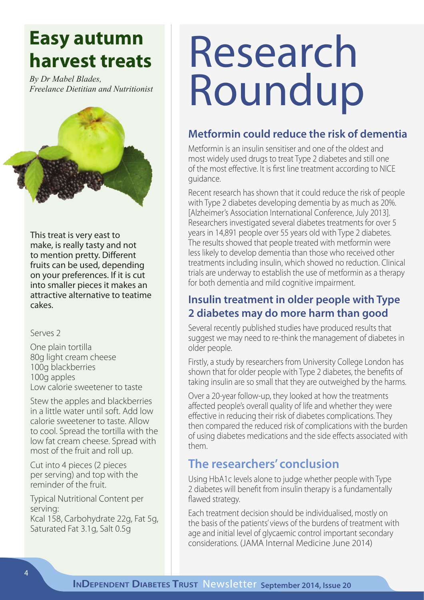# **Easy autumn harvest treats**

*By Dr Mabel Blades, Freelance Dietitian and Nutritionist*



This treat is very east to make, is really tasty and not to mention pretty. Different fruits can be used, depending on your preferences. If it is cut into smaller pieces it makes an attractive alternative to teatime cakes.

#### Serves 2

One plain tortilla 80g light cream cheese 100g blackberries 100g apples Low calorie sweetener to taste

Stew the apples and blackberries in a little water until soft. Add low calorie sweetener to taste. Allow to cool. Spread the tortilla with the low fat cream cheese. Spread with most of the fruit and roll up.

Cut into 4 pieces (2 pieces per serving) and top with the reminder of the fruit.

Typical Nutritional Content per serving: Kcal 158, Carbohydrate 22g, Fat 5g, Saturated Fat 3.1g, Salt 0.5g

# Research Roundup

## **Metformin could reduce the risk of dementia**

Metformin is an insulin sensitiser and one of the oldest and most widely used drugs to treat Type 2 diabetes and still one of the most effective. It is first line treatment according to NICE guidance.

Recent research has shown that it could reduce the risk of people with Type 2 diabetes developing dementia by as much as 20%. [Alzheimer's Association International Conference, July 2013]. Researchers investigated several diabetes treatments for over 5 years in 14,891 people over 55 years old with Type 2 diabetes. The results showed that people treated with metformin were less likely to develop dementia than those who received other treatments including insulin, which showed no reduction. Clinical trials are underway to establish the use of metformin as a therapy for both dementia and mild cognitive impairment.

## **Insulin treatment in older people with Type 2 diabetes may do more harm than good**

Several recently published studies have produced results that suggest we may need to re-think the management of diabetes in older people.

Firstly, a study by researchers from University College London has shown that for older people with Type 2 diabetes, the benefits of taking insulin are so small that they are outweighed by the harms.

Over a 20-year follow-up, they looked at how the treatments affected people's overall quality of life and whether they were effective in reducing their risk of diabetes complications. They then compared the reduced risk of complications with the burden of using diabetes medications and the side effects associated with them.

# **The researchers' conclusion**

Using HbA1c levels alone to judge whether people with Type 2 diabetes will benefit from insulin therapy is a fundamentally flawed strategy.

Each treatment decision should be individualised, mostly on the basis of the patients' views of the burdens of treatment with age and initial level of glycaemic control important secondary considerations. (JAMA Internal Medicine June 2014)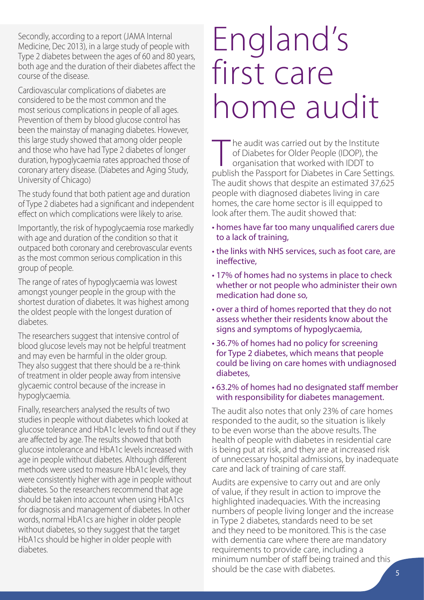Secondly, according to a report (JAMA Internal Medicine, Dec 2013), in a large study of people with Type 2 diabetes between the ages of 60 and 80 years, both age and the duration of their diabetes affect the course of the disease.

Cardiovascular complications of diabetes are considered to be the most common and the most serious complications in people of all ages. Prevention of them by blood glucose control has been the mainstay of managing diabetes. However, this large study showed that among older people and those who have had Type 2 diabetes of longer duration, hypoglycaemia rates approached those of coronary artery disease. (Diabetes and Aging Study, University of Chicago)

The study found that both patient age and duration of Type 2 diabetes had a significant and independent effect on which complications were likely to arise.

Importantly, the risk of hypoglycaemia rose markedly with age and duration of the condition so that it outpaced both coronary and cerebrovascular events as the most common serious complication in this group of people.

The range of rates of hypoglycaemia was lowest amongst younger people in the group with the shortest duration of diabetes. It was highest among the oldest people with the longest duration of diabetes.

The researchers suggest that intensive control of blood glucose levels may not be helpful treatment and may even be harmful in the older group. They also suggest that there should be a re-think of treatment in older people away from intensive glycaemic control because of the increase in hypoglycaemia.

Finally, researchers analysed the results of two studies in people without diabetes which looked at glucose tolerance and HbA1c levels to find out if they are affected by age. The results showed that both glucose intolerance and HbA1c levels increased with age in people without diabetes. Although different methods were used to measure HbA1c levels, they were consistently higher with age in people without diabetes. So the researchers recommend that age should be taken into account when using HbA1cs for diagnosis and management of diabetes. In other words, normal HbA1cs are higher in older people without diabetes, so they suggest that the target HbA1cs should be higher in older people with diabetes.

# England's first care home audit

The audit was carried out by the Institute<br>of Diabetes for Older People (IDOP), the<br>organisation that worked with IDDT to<br>publish the Passport for Diabetes in Care Settin of Diabetes for Older People (IDOP), the organisation that worked with IDDT to publish the Passport for Diabetes in Care Settings. The audit shows that despite an estimated 37,625 people with diagnosed diabetes living in care homes, the care home sector is ill equipped to look after them. The audit showed that:

- homes have far too many unqualified carers due to a lack of training,
- the links with NHS services, such as foot care, are ineffective,
- 17% of homes had no systems in place to check whether or not people who administer their own medication had done so,
- over a third of homes reported that they do not assess whether their residents know about the signs and symptoms of hypoglycaemia,
- 36.7% of homes had no policy for screening for Type 2 diabetes, which means that people could be living on care homes with undiagnosed diabetes,
- 63.2% of homes had no designated staff member with responsibility for diabetes management.

The audit also notes that only 23% of care homes responded to the audit, so the situation is likely to be even worse than the above results. The health of people with diabetes in residential care is being put at risk, and they are at increased risk of unnecessary hospital admissions, by inadequate care and lack of training of care staff.

Audits are expensive to carry out and are only of value, if they result in action to improve the highlighted inadequacies. With the increasing numbers of people living longer and the increase in Type 2 diabetes, standards need to be set and they need to be monitored. This is the case with dementia care where there are mandatory requirements to provide care, including a minimum number of staff being trained and this should be the case with diabetes.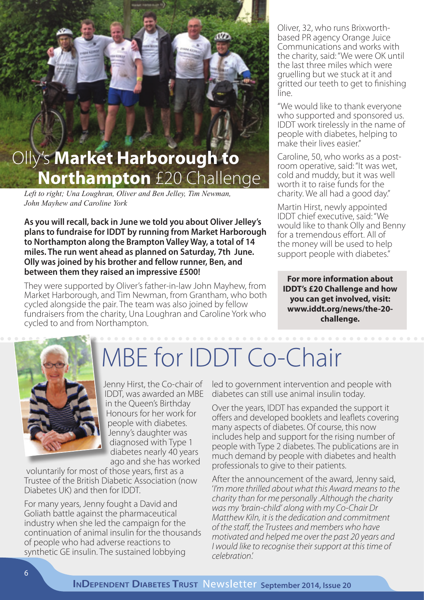# Olly's **Market Harborough to Northampton** £20 Challenge

*Left to right; Una Loughran, Oliver and Ben Jelley, Tim Newman, John Mayhew and Caroline York*

**As you will recall, back in June we told you about Oliver Jelley's plans to fundraise for IDDT by running from Market Harborough to Northampton along the Brampton Valley Way, a total of 14 miles. The run went ahead as planned on Saturday, 7th June. Olly was joined by his brother and fellow runner, Ben, and between them they raised an impressive £500!**

They were supported by Oliver's father-in-law John Mayhew, from Market Harborough, and Tim Newman, from Grantham, who both cycled alongside the pair. The team was also joined by fellow fundraisers from the charity, Una Loughran and Caroline York who cycled to and from Northampton.

Oliver, 32, who runs Brixworthbased PR agency Orange Juice Communications and works with the charity, said: "We were OK until the last three miles which were gruelling but we stuck at it and gritted our teeth to get to finishing line.

"We would like to thank everyone who supported and sponsored us. IDDT work tirelessly in the name of people with diabetes, helping to make their lives easier."

Caroline, 50, who works as a postroom operative, said: "It was wet, cold and muddy, but it was well worth it to raise funds for the charity. We all had a good day."

Martin Hirst, newly appointed IDDT chief executive, said: "We would like to thank Olly and Benny for a tremendous effort. All of the money will be used to help support people with diabetes."

**For more information about IDDT's £20 Challenge and how you can get involved, visit: www.iddt.org/news/the-20 challenge.**



# MBE for IDDT Co-Chair

Jenny Hirst, the Co-chair of IDDT, was awarded an MBE in the Queen's Birthday Honours for her work for people with diabetes. Jenny's daughter was diagnosed with Type 1 diabetes nearly 40 years ago and she has worked

voluntarily for most of those years, first as a Trustee of the British Diabetic Association (now Diabetes UK) and then for IDDT.

For many years, Jenny fought a David and Goliath battle against the pharmaceutical industry when she led the campaign for the continuation of animal insulin for the thousands of people who had adverse reactions to synthetic GE insulin. The sustained lobbying

led to government intervention and people with diabetes can still use animal insulin today.

Over the years, IDDT has expanded the support it offers and developed booklets and leaflets covering many aspects of diabetes. Of course, this now includes help and support for the rising number of people with Type 2 diabetes. The publications are in much demand by people with diabetes and health professionals to give to their patients.

After the announcement of the award, Jenny said, '*I'm more thrilled about what this Award means to the charity than for me personally .Although the charity was my 'brain-child' along with my Co-Chair Dr Matthew Kiln, it is the dedication and commitment of the staff, the Trustees and members who have motivated and helped me over the past 20 years and I would like to recognise their support at this time of celebration*.'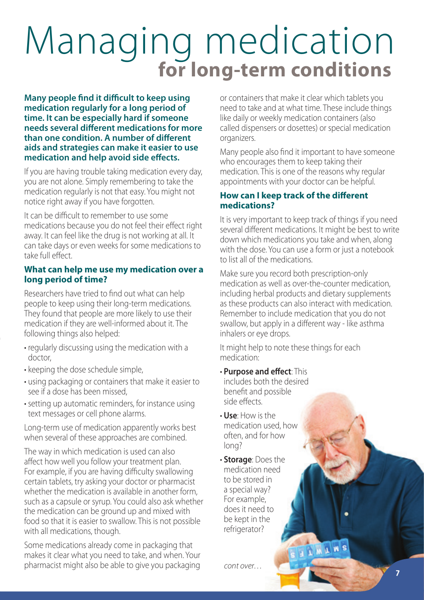# Managing medication **for long-term conditions**

**Many people find it difficult to keep using medication regularly for a long period of time. It can be especially hard if someone needs several different medications for more than one condition. A number of different aids and strategies can make it easier to use medication and help avoid side effects.**

If you are having trouble taking medication every day, you are not alone. Simply remembering to take the medication regularly is not that easy. You might not notice right away if you have forgotten.

It can be difficult to remember to use some medications because you do not feel their effect right away. It can feel like the drug is not working at all. It can take days or even weeks for some medications to take full effect.

#### **What can help me use my medication over a long period of time?**

Researchers have tried to find out what can help people to keep using their long-term medications. They found that people are more likely to use their medication if they are well-informed about it. The following things also helped:

- regularly discussing using the medication with a doctor,
- keeping the dose schedule simple,
- using packaging or containers that make it easier to see if a dose has been missed,
- setting up automatic reminders, for instance using text messages or cell phone alarms.

Long-term use of medication apparently works best when several of these approaches are combined.

The way in which medication is used can also affect how well you follow your treatment plan. For example, if you are having difficulty swallowing certain tablets, try asking your doctor or pharmacist whether the medication is available in another form, such as a capsule or syrup. You could also ask whether the medication can be ground up and mixed with food so that it is easier to swallow. This is not possible with all medications, though.

Some medications already come in packaging that makes it clear what you need to take, and when. Your pharmacist might also be able to give you packaging

or containers that make it clear which tablets you need to take and at what time. These include things like daily or weekly medication containers (also called dispensers or dosettes) or special medication organizers.

Many people also find it important to have someone who encourages them to keep taking their medication. This is one of the reasons why regular appointments with your doctor can be helpful.

#### **How can I keep track of the different medications?**

It is very important to keep track of things if you need several different medications. It might be best to write down which medications you take and when, along with the dose. You can use a form or just a notebook to list all of the medications.

Make sure you record both prescription-only medication as well as over-the-counter medication, including herbal products and dietary supplements as these products can also interact with medication. Remember to include medication that you do not swallow, but apply in a different way - like asthma inhalers or eye drops.

S & I M L N S

It might help to note these things for each medication:

- **Purpose and effect**: This
- includes both the desired benefit and possible side effects.
- **Use**: How is the medication used, how often, and for how long?
- **Storage**: Does the medication need to be stored in a special way? For example, does it need to be kept in the refrigerator?

*cont over…*